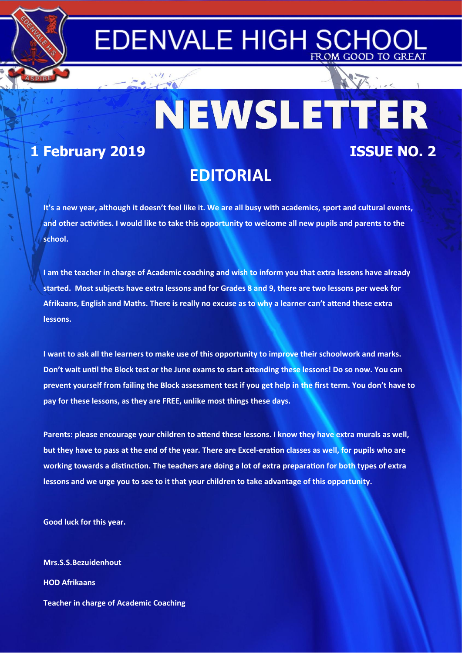## **EDENVALE HIGH SCH** FROM GOOD TO GREAT

NEWSLETTER **1 February 2019 ISSUE NO. 2**

# **EDITORIAL**

**It's a new year, although it doesn't feel like it. We are all busy with academics, sport and cultural events,**  and other activities. I would like to take this opportunity to welcome all new pupils and parents to the **school.**

**I am the teacher in charge of Academic coaching and wish to inform you that extra lessons have already started. Most subjects have extra lessons and for Grades 8 and 9, there are two lessons per week for**  Afrikaans, English and Maths. There is really no excuse as to why a learner can't attend these extra **lessons.**

**I want to ask all the learners to make use of this opportunity to improve their schoolwork and marks.**  Don't wait until the Block test or the June exams to start attending these lessons! Do so now. You can **prevent yourself from failing the Block assessment test if you get help in the first term. You don't have to pay for these lessons, as they are FREE, unlike most things these days.** 

Parents: please encourage your children to attend these lessons. I know they have extra murals as well, but they have to pass at the end of the year. There are Excel-eration classes as well, for pupils who are working towards a distinction. The teachers are doing a lot of extra preparation for both types of extra **lessons and we urge you to see to it that your children to take advantage of this opportunity.** 

**Good luck for this year.**

**Mrs.S.S.Bezuidenhout HOD Afrikaans Teacher in charge of Academic Coaching**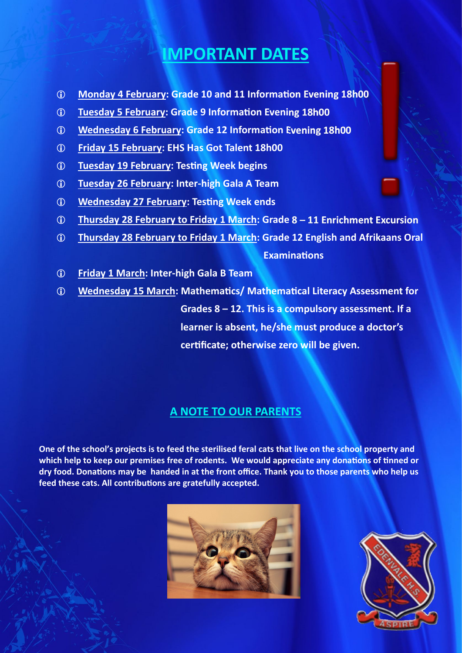# **IMPORTANT DATES**

- **1** Monday 4 February: Grade 10 and 11 Information Evening 18h00
- **Tuesday 5 February: Grade 9 InformaƟon Evening 18h00**
- **Wednesday 6 February: Grade 12 InformaƟon Evening 18h00**
- **Friday 15 February: EHS Has Got Talent 18h00**
- *C* Tuesday 19 February: Testing Week begins
- **Tuesday 26 February: Inter-high Gala A Team**
- *C* Wednesday 27 February: Testing Week ends
- **Thursday 28 February to Friday 1 March: Grade 8 – 11 Enrichment Excursion**
- **Thursday 28 February to Friday 1 March: Grade 12 English and Afrikaans Oral**

 **ExaminaƟons** 

- **Friday 1 March: Inter-high Gala B Team**
- **Wednesday 15 March: MathemaƟcs/ MathemaƟcal Literacy Assessment for Grades 8 – 12. This is a compulsory assessment. If a learner is absent, he/she must produce a doctor's cerƟficate; otherwise zero will be given.**

### **A NOTE TO OUR PARENTS**

**One of the school's projects is to feed the sterilised feral cats that live on the school property and**  which help to keep our premises free of rodents. We would appreciate any donations of tinned or **dry food. DonaƟons may be handed in at the front office. Thank you to those parents who help us**  feed these cats. All contributions are gratefully accepted.



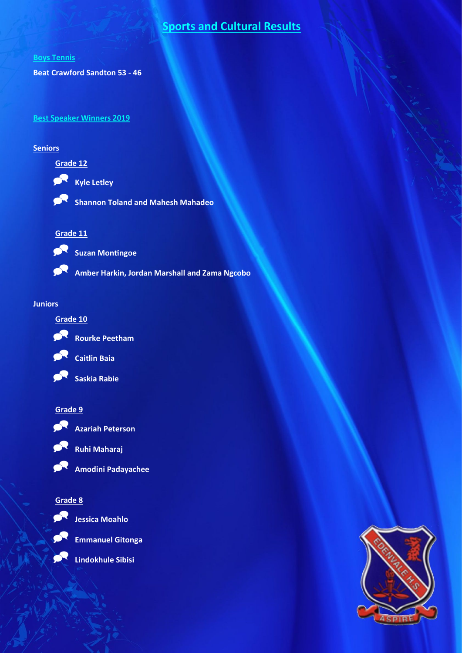### **Sports and Cultural Results**

#### **Boys Tennis**

**Beat Crawford Sandton 53 - 46**

#### **Best Speaker Winners 2019**

#### **Seniors**

### **Grade 12**



**Shannon Toland and Mahesh Mahadeo** 

#### **Grade 11**



Suzan Montingoe

**Amber Harkin, Jordan Marshall and Zama Ngcobo** 

#### **Juniors**





**Rourke Peetham** 



**Caitlin Baia** 



#### **Grade 9**



**Ruhi Maharaj** 



**Amodini Padayachee** 

**Azariah Peterson** 

#### **Grade 8**



**Jessica Moahlo** 



**Emmanuel Gitonga** 

**Lindokhule Sibisi**